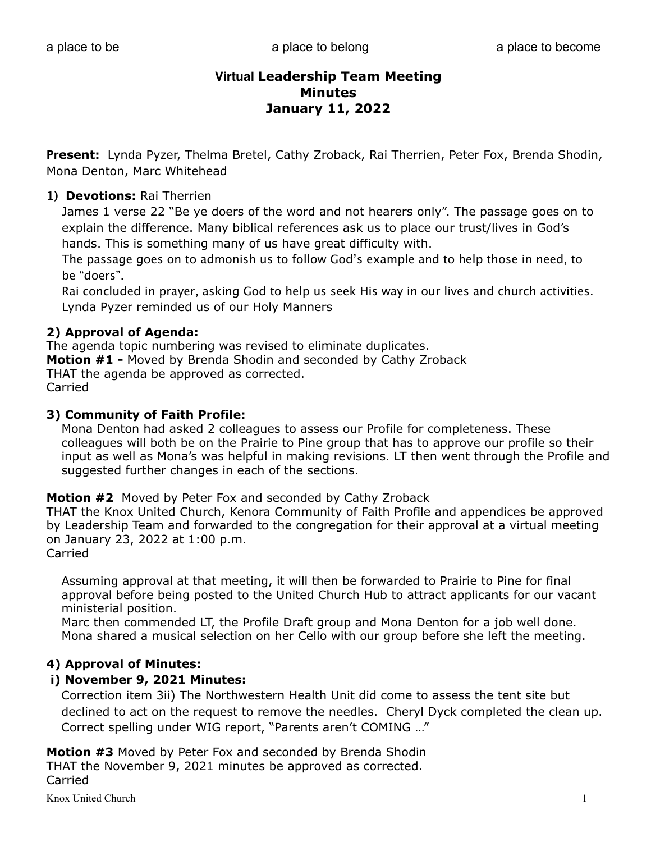**Present:** Lynda Pyzer, Thelma Bretel, Cathy Zroback, Rai Therrien, Peter Fox, Brenda Shodin, Mona Denton, Marc Whitehead

## **1) Devotions:** Rai Therrien

James 1 verse 22 "Be ye doers of the word and not hearers only". The passage goes on to explain the difference. Many biblical references ask us to place our trust/lives in God's hands. This is something many of us have great difficulty with.

The passage goes on to admonish us to follow God's example and to help those in need, to be "doers".

Rai concluded in prayer, asking God to help us seek His way in our lives and church activities. Lynda Pyzer reminded us of our Holy Manners

## **2) Approval of Agenda:**

The agenda topic numbering was revised to eliminate duplicates. **Motion #1 -** Moved by Brenda Shodin and seconded by Cathy Zroback THAT the agenda be approved as corrected. Carried

## **3) Community of Faith Profile:**

 Mona Denton had asked 2 colleagues to assess our Profile for completeness. These colleagues will both be on the Prairie to Pine group that has to approve our profile so their input as well as Mona's was helpful in making revisions. LT then went through the Profile and suggested further changes in each of the sections.

## **Motion #2** Moved by Peter Fox and seconded by Cathy Zroback

THAT the Knox United Church, Kenora Community of Faith Profile and appendices be approved by Leadership Team and forwarded to the congregation for their approval at a virtual meeting on January 23, 2022 at 1:00 p.m.

Carried

 Assuming approval at that meeting, it will then be forwarded to Prairie to Pine for final approval before being posted to the United Church Hub to attract applicants for our vacant ministerial position.

 Marc then commended LT, the Profile Draft group and Mona Denton for a job well done. Mona shared a musical selection on her Cello with our group before she left the meeting.

## **4) Approval of Minutes:**

## **i) November 9, 2021 Minutes:**

Correction item 3ii) The Northwestern Health Unit did come to assess the tent site but declined to act on the request to remove the needles. Cheryl Dyck completed the clean up. Correct spelling under WIG report, "Parents aren't COMING …"

**Motion #3** Moved by Peter Fox and seconded by Brenda Shodin THAT the November 9, 2021 minutes be approved as corrected. Carried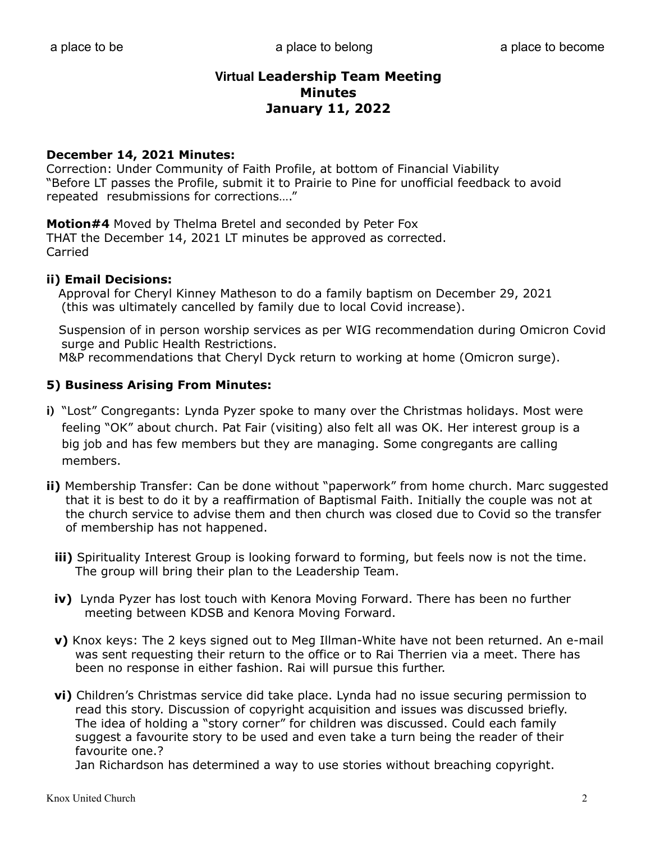## **December 14, 2021 Minutes:**

Correction: Under Community of Faith Profile, at bottom of Financial Viability "Before LT passes the Profile, submit it to Prairie to Pine for unofficial feedback to avoid repeated resubmissions for corrections…."

**Motion#4** Moved by Thelma Bretel and seconded by Peter Fox THAT the December 14, 2021 LT minutes be approved as corrected. Carried

## **ii) Email Decisions:**

Approval for Cheryl Kinney Matheson to do a family baptism on December 29, 2021 (this was ultimately cancelled by family due to local Covid increase).

 Suspension of in person worship services as per WIG recommendation during Omicron Covid surge and Public Health Restrictions.

M&P recommendations that Cheryl Dyck return to working at home (Omicron surge).

## **5) Business Arising From Minutes:**

- **i)** "Lost" Congregants: Lynda Pyzer spoke to many over the Christmas holidays. Most were feeling "OK" about church. Pat Fair (visiting) also felt all was OK. Her interest group is a big job and has few members but they are managing. Some congregants are calling members.
- **ii)** Membership Transfer: Can be done without "paperwork" from home church. Marc suggested that it is best to do it by a reaffirmation of Baptismal Faith. Initially the couple was not at the church service to advise them and then church was closed due to Covid so the transfer of membership has not happened.
	- **iii)** Spirituality Interest Group is looking forward to forming, but feels now is not the time. The group will bring their plan to the Leadership Team.
	- **iv)** Lynda Pyzer has lost touch with Kenora Moving Forward. There has been no further meeting between KDSB and Kenora Moving Forward.
	- **v)** Knox keys: The 2 keys signed out to Meg Illman-White have not been returned. An e-mail was sent requesting their return to the office or to Rai Therrien via a meet. There has been no response in either fashion. Rai will pursue this further.
	- **vi)** Children's Christmas service did take place. Lynda had no issue securing permission to read this story. Discussion of copyright acquisition and issues was discussed briefly. The idea of holding a "story corner" for children was discussed. Could each family suggest a favourite story to be used and even take a turn being the reader of their favourite one.?

Jan Richardson has determined a way to use stories without breaching copyright.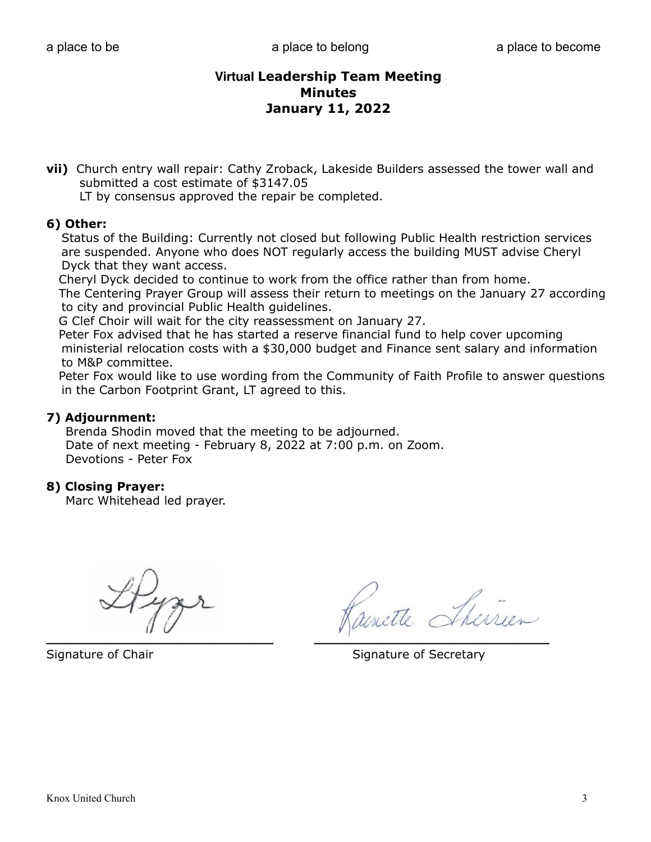**vii)** Church entry wall repair: Cathy Zroback, Lakeside Builders assessed the tower wall and submitted a cost estimate of \$3147.05

LT by consensus approved the repair be completed.

## **6) Other:**

Status of the Building: Currently not closed but following Public Health restriction services are suspended. Anyone who does NOT regularly access the building MUST advise Cheryl Dyck that they want access.

 Cheryl Dyck decided to continue to work from the office rather than from home. The Centering Prayer Group will assess their return to meetings on the January 27 according to city and provincial Public Health guidelines.

G Clef Choir will wait for the city reassessment on January 27.

 Peter Fox advised that he has started a reserve financial fund to help cover upcoming ministerial relocation costs with a \$30,000 budget and Finance sent salary and information to M&P committee.

 Peter Fox would like to use wording from the Community of Faith Profile to answer questions in the Carbon Footprint Grant, LT agreed to this.

## **7) Adjournment:**

 Brenda Shodin moved that the meeting to be adjourned. Date of next meeting - February 8, 2022 at 7:00 p.m. on Zoom. Devotions - Peter Fox

## **8) Closing Prayer:**

Marc Whitehead led prayer.

ette Sherrien  $\mathcal{L}_\text{max}$  , and the contract of the contract of the contract of the contract of the contract of the contract of

Signature of Chair Signature of Secretary